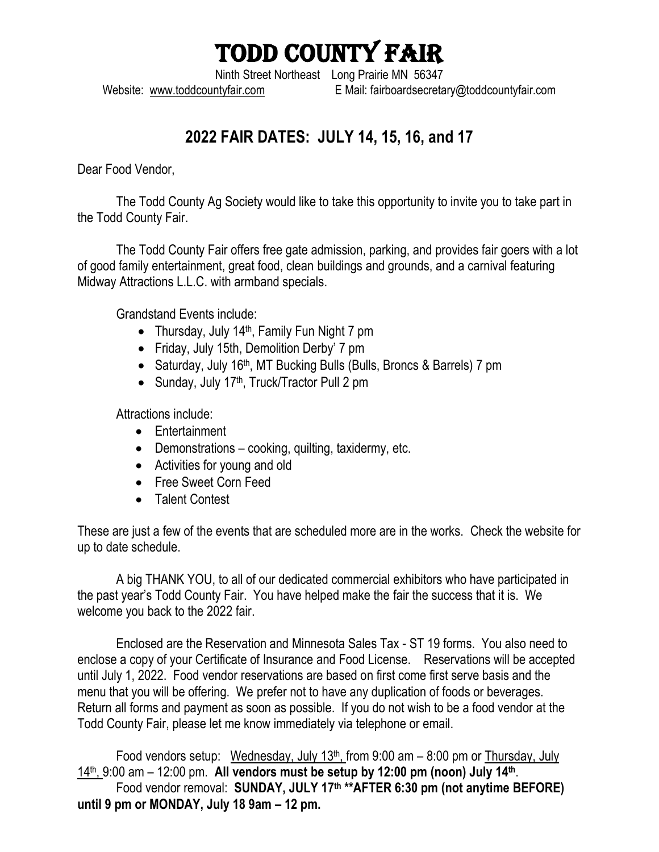## TODD COUNTY FAIR

Ninth Street Northeast Long Prairie MN 56347 Website: [www.toddcountyfair.com](http://www.toddcountyfair.com/) E Mail: fairboardsecretary@toddcountyfair.com

## **2022 FAIR DATES: JULY 14, 15, 16, and 17**

Dear Food Vendor,

The Todd County Ag Society would like to take this opportunity to invite you to take part in the Todd County Fair.

The Todd County Fair offers free gate admission, parking, and provides fair goers with a lot of good family entertainment, great food, clean buildings and grounds, and a carnival featuring Midway Attractions L.L.C. with armband specials.

Grandstand Events include:

- Thursday, July 14<sup>th</sup>, Family Fun Night 7 pm
- Friday, July 15th, Demolition Derby' 7 pm
- Saturday, July 16<sup>th</sup>, MT Bucking Bulls (Bulls, Broncs & Barrels) 7 pm
- Sunday, July 17<sup>th</sup>, Truck/Tractor Pull 2 pm

Attractions include:

- Entertainment
- Demonstrations cooking, quilting, taxidermy, etc.
- Activities for young and old
- Free Sweet Corn Feed
- Talent Contest

These are just a few of the events that are scheduled more are in the works. Check the website for up to date schedule.

A big THANK YOU, to all of our dedicated commercial exhibitors who have participated in the past year's Todd County Fair. You have helped make the fair the success that it is. We welcome you back to the 2022 fair.

Enclosed are the Reservation and Minnesota Sales Tax - ST 19 forms. You also need to enclose a copy of your Certificate of Insurance and Food License. Reservations will be accepted until July 1, 2022. Food vendor reservations are based on first come first serve basis and the menu that you will be offering. We prefer not to have any duplication of foods or beverages. Return all forms and payment as soon as possible. If you do not wish to be a food vendor at the Todd County Fair, please let me know immediately via telephone or email.

Food vendors setup: Wednesday, July 13<sup>th</sup>, from 9:00 am - 8:00 pm or Thursday, July 14<sup>th</sup>, 9:00 am – 12:00 pm. All vendors must be setup by 12:00 pm (noon) July 14<sup>th</sup>.

Food vendor removal: **SUNDAY, JULY 17th \*\*AFTER 6:30 pm (not anytime BEFORE) until 9 pm or MONDAY, July 18 9am – 12 pm.**